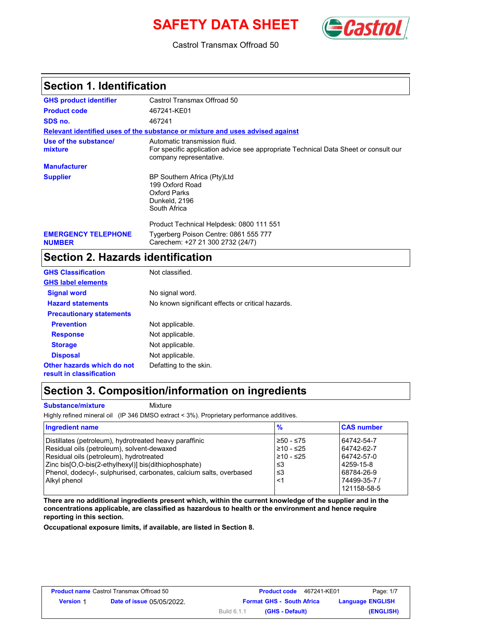# **SAFETY DATA SHEET** (**Castro**



Castrol Transmax Offroad 50

### **Section 1. Identification**

| <b>GHS product identifier</b>               | Castrol Transmax Offroad 50                                                                                                                     |
|---------------------------------------------|-------------------------------------------------------------------------------------------------------------------------------------------------|
| <b>Product code</b>                         | 467241-KE01                                                                                                                                     |
| SDS no.                                     | 467241                                                                                                                                          |
|                                             | Relevant identified uses of the substance or mixture and uses advised against                                                                   |
| Use of the substance/<br>mixture            | Automatic transmission fluid.<br>For specific application advice see appropriate Technical Data Sheet or consult our<br>company representative. |
| <b>Manufacturer</b>                         |                                                                                                                                                 |
| <b>Supplier</b>                             | BP Southern Africa (Pty)Ltd<br>199 Oxford Road<br>Oxford Parks<br>Dunkeld, 2196<br>South Africa                                                 |
|                                             | Product Technical Helpdesk: 0800 111 551                                                                                                        |
| <b>EMERGENCY TELEPHONE</b><br><b>NUMBER</b> | Tygerberg Poison Centre: 0861 555 777<br>Carechem: +27 21 300 2732 (24/7)                                                                       |

## **Section 2. Hazards identification**

| <b>GHS Classification</b>                              | Not classified.                                   |
|--------------------------------------------------------|---------------------------------------------------|
| <b>GHS label elements</b>                              |                                                   |
| <b>Signal word</b>                                     | No signal word.                                   |
| <b>Hazard statements</b>                               | No known significant effects or critical hazards. |
| <b>Precautionary statements</b>                        |                                                   |
| <b>Prevention</b>                                      | Not applicable.                                   |
| <b>Response</b>                                        | Not applicable.                                   |
| <b>Storage</b>                                         | Not applicable.                                   |
| <b>Disposal</b>                                        | Not applicable.                                   |
| Other hazards which do not<br>result in classification | Defatting to the skin.                            |

### **Section 3. Composition/information on ingredients**

**Substance/mixture Mixture** 

Highly refined mineral oil (IP 346 DMSO extract < 3%). Proprietary performance additives.

| <b>Ingredient name</b>                                              | %           | <b>CAS number</b> |
|---------------------------------------------------------------------|-------------|-------------------|
| Distillates (petroleum), hydrotreated heavy paraffinic              | $≥50 - ≤75$ | 64742-54-7        |
| Residual oils (petroleum), solvent-dewaxed                          | $≥10 - ≤25$ | 64742-62-7        |
| Residual oils (petroleum), hydrotreated                             | $≥10 - ≤25$ | 64742-57-0        |
| Zinc bis[O,O-bis(2-ethylhexyl)] bis(dithiophosphate)                | ו≥ ≤        | 4259-15-8         |
| Phenol, dodecyl-, sulphurised, carbonates, calcium salts, overbased | ≤3          | 68784-26-9        |
| Alkyl phenol                                                        | <1          | 74499-35-7 /      |
|                                                                     |             | 121158-58-5       |

**There are no additional ingredients present which, within the current knowledge of the supplier and in the concentrations applicable, are classified as hazardous to health or the environment and hence require reporting in this section.**

**Occupational exposure limits, if available, are listed in Section 8.**

| <b>Product name Castrol Transmax Offroad 50</b> |                                  |             | <b>Product code</b> | 467241-KE01                      | Page: 1/7               |
|-------------------------------------------------|----------------------------------|-------------|---------------------|----------------------------------|-------------------------|
| <b>Version 1</b>                                | <b>Date of issue 05/05/2022.</b> |             |                     | <b>Format GHS - South Africa</b> | <b>Language ENGLISH</b> |
|                                                 |                                  | Build 6.1.1 |                     | (GHS - Default)                  | (ENGLISH)               |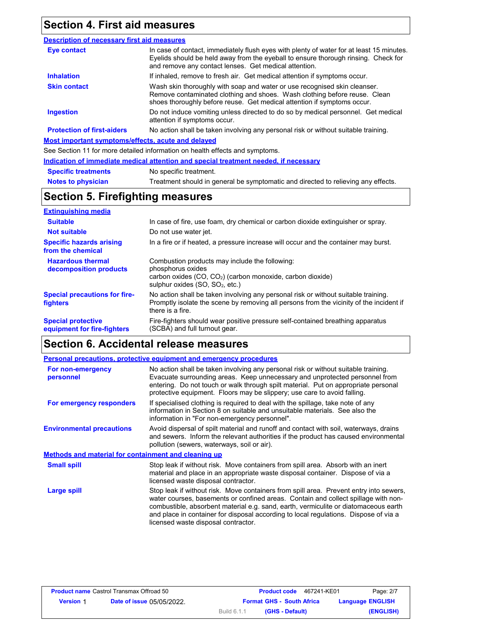# **Section 4. First aid measures**

#### **Eye contact Skin contact Inhalation Ingestion Description of necessary first aid measures Most important symptoms/effects, acute and delayed** See Section 11 for more detailed information on health effects and symptoms. **Protection of first-aiders** If inhaled, remove to fresh air. Get medical attention if symptoms occur. Do not induce vomiting unless directed to do so by medical personnel. Get medical attention if symptoms occur. Wash skin thoroughly with soap and water or use recognised skin cleanser. Remove contaminated clothing and shoes. Wash clothing before reuse. Clean shoes thoroughly before reuse. Get medical attention if symptoms occur. In case of contact, immediately flush eyes with plenty of water for at least 15 minutes. Eyelids should be held away from the eyeball to ensure thorough rinsing. Check for and remove any contact lenses. Get medical attention. No action shall be taken involving any personal risk or without suitable training.

|                            | Indication of immediate medical attention and special treatment needed, if necessary |
|----------------------------|--------------------------------------------------------------------------------------|
| <b>Specific treatments</b> | No specific treatment.                                                               |
| <b>Notes to physician</b>  | Treatment should in general be symptomatic and directed to relieving any effects.    |

### **Section 5. Firefighting measures**

| <b>Extinguishing media</b>                               |                                                                                                                                                                                                   |
|----------------------------------------------------------|---------------------------------------------------------------------------------------------------------------------------------------------------------------------------------------------------|
| <b>Suitable</b>                                          | In case of fire, use foam, dry chemical or carbon dioxide extinguisher or spray.                                                                                                                  |
| <b>Not suitable</b>                                      | Do not use water jet.                                                                                                                                                                             |
| <b>Specific hazards arising</b><br>from the chemical     | In a fire or if heated, a pressure increase will occur and the container may burst.                                                                                                               |
| <b>Hazardous thermal</b><br>decomposition products       | Combustion products may include the following:<br>phosphorus oxides<br>carbon oxides (CO, CO <sub>2</sub> ) (carbon monoxide, carbon dioxide)<br>sulphur oxides (SO, SO <sub>2</sub> , etc.)      |
| <b>Special precautions for fire-</b><br>fighters         | No action shall be taken involving any personal risk or without suitable training.<br>Promptly isolate the scene by removing all persons from the vicinity of the incident if<br>there is a fire. |
| <b>Special protective</b><br>equipment for fire-fighters | Fire-fighters should wear positive pressure self-contained breathing apparatus<br>(SCBA) and full turnout gear.                                                                                   |

## **Section 6. Accidental release measures**

|                                                      | <b>Personal precautions, protective equipment and emergency procedures</b>                                                                                                                                                                                                                                                                                                                         |
|------------------------------------------------------|----------------------------------------------------------------------------------------------------------------------------------------------------------------------------------------------------------------------------------------------------------------------------------------------------------------------------------------------------------------------------------------------------|
| For non-emergency<br>personnel                       | No action shall be taken involving any personal risk or without suitable training.<br>Evacuate surrounding areas. Keep unnecessary and unprotected personnel from<br>entering. Do not touch or walk through spilt material. Put on appropriate personal<br>protective equipment. Floors may be slippery; use care to avoid falling.                                                                |
| For emergency responders                             | If specialised clothing is required to deal with the spillage, take note of any<br>information in Section 8 on suitable and unsuitable materials. See also the<br>information in "For non-emergency personnel".                                                                                                                                                                                    |
| <b>Environmental precautions</b>                     | Avoid dispersal of spilt material and runoff and contact with soil, waterways, drains<br>and sewers. Inform the relevant authorities if the product has caused environmental<br>pollution (sewers, waterways, soil or air).                                                                                                                                                                        |
| Methods and material for containment and cleaning up |                                                                                                                                                                                                                                                                                                                                                                                                    |
| <b>Small spill</b>                                   | Stop leak if without risk. Move containers from spill area. Absorb with an inert<br>material and place in an appropriate waste disposal container. Dispose of via a<br>licensed waste disposal contractor.                                                                                                                                                                                         |
| Large spill                                          | Stop leak if without risk. Move containers from spill area. Prevent entry into sewers,<br>water courses, basements or confined areas. Contain and collect spillage with non-<br>combustible, absorbent material e.g. sand, earth, vermiculite or diatomaceous earth<br>and place in container for disposal according to local regulations. Dispose of via a<br>licensed waste disposal contractor. |

| <b>Product name Castrol Transmax Offroad 50</b> |                                  | 467241-KE01<br><b>Product code</b> | Page: 2/7               |
|-------------------------------------------------|----------------------------------|------------------------------------|-------------------------|
| <b>Version 1</b>                                | <b>Date of issue 05/05/2022.</b> | <b>Format GHS - South Africa</b>   | <b>Language ENGLISH</b> |
|                                                 |                                  | (GHS - Default)<br>Build 6.1.1     | (ENGLISH)               |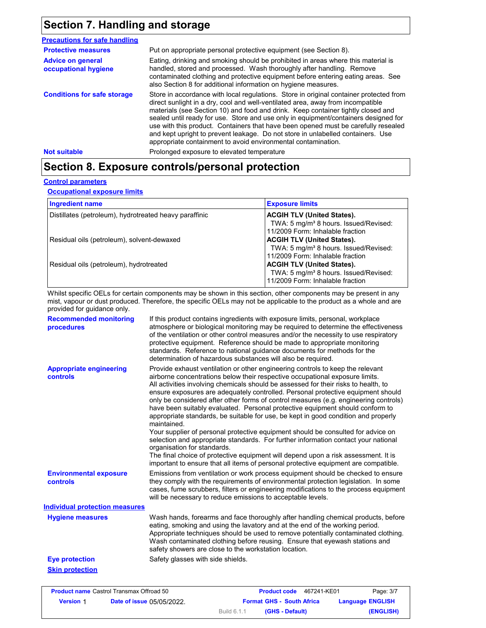# **Section 7. Handling and storage**

| <b>Precautions for safe handling</b>             |                                                                                                                                                                                                                                                                                                                                                                                                                                                                                                                                                                                                |
|--------------------------------------------------|------------------------------------------------------------------------------------------------------------------------------------------------------------------------------------------------------------------------------------------------------------------------------------------------------------------------------------------------------------------------------------------------------------------------------------------------------------------------------------------------------------------------------------------------------------------------------------------------|
| <b>Protective measures</b>                       | Put on appropriate personal protective equipment (see Section 8).                                                                                                                                                                                                                                                                                                                                                                                                                                                                                                                              |
| <b>Advice on general</b><br>occupational hygiene | Eating, drinking and smoking should be prohibited in areas where this material is<br>handled, stored and processed. Wash thoroughly after handling. Remove<br>contaminated clothing and protective equipment before entering eating areas. See<br>also Section 8 for additional information on hygiene measures.                                                                                                                                                                                                                                                                               |
| <b>Conditions for safe storage</b>               | Store in accordance with local regulations. Store in original container protected from<br>direct sunlight in a dry, cool and well-ventilated area, away from incompatible<br>materials (see Section 10) and food and drink. Keep container tightly closed and<br>sealed until ready for use. Store and use only in equipment/containers designed for<br>use with this product. Containers that have been opened must be carefully resealed<br>and kept upright to prevent leakage. Do not store in unlabelled containers. Use<br>appropriate containment to avoid environmental contamination. |
| <b>Not suitable</b>                              | Prolonged exposure to elevated temperature                                                                                                                                                                                                                                                                                                                                                                                                                                                                                                                                                     |

# **Section 8. Exposure controls/personal protection**

### **Control parameters**

**Occupational exposure limits**

| <b>Ingredient name</b>                                 | <b>Exposure limits</b>                                                                                                     |
|--------------------------------------------------------|----------------------------------------------------------------------------------------------------------------------------|
| Distillates (petroleum), hydrotreated heavy paraffinic | <b>ACGIH TLV (United States).</b><br>TWA: 5 mg/m <sup>3</sup> 8 hours. Issued/Revised:<br>11/2009 Form: Inhalable fraction |
| Residual oils (petroleum), solvent-dewaxed             | <b>ACGIH TLV (United States).</b><br>TWA: 5 mg/m <sup>3</sup> 8 hours. Issued/Revised:<br>11/2009 Form: Inhalable fraction |
| Residual oils (petroleum), hydrotreated                | <b>ACGIH TLV (United States).</b><br>TWA: 5 mg/m <sup>3</sup> 8 hours. Issued/Revised:<br>11/2009 Form: Inhalable fraction |

Whilst specific OELs for certain components may be shown in this section, other components may be present in any mist, vapour or dust produced. Therefore, the specific OELs may not be applicable to the product as a whole and are provided for guidance only.

| <b>Recommended monitoring</b><br>procedures       | If this product contains ingredients with exposure limits, personal, workplace<br>atmosphere or biological monitoring may be required to determine the effectiveness<br>of the ventilation or other control measures and/or the necessity to use respiratory<br>protective equipment. Reference should be made to appropriate monitoring<br>standards. Reference to national guidance documents for methods for the<br>determination of hazardous substances will also be required.                                                                                                                                                                                                                                                                                                                                                                                                                                                                                                                           |
|---------------------------------------------------|---------------------------------------------------------------------------------------------------------------------------------------------------------------------------------------------------------------------------------------------------------------------------------------------------------------------------------------------------------------------------------------------------------------------------------------------------------------------------------------------------------------------------------------------------------------------------------------------------------------------------------------------------------------------------------------------------------------------------------------------------------------------------------------------------------------------------------------------------------------------------------------------------------------------------------------------------------------------------------------------------------------|
| <b>Appropriate engineering</b><br><b>controls</b> | Provide exhaust ventilation or other engineering controls to keep the relevant<br>airborne concentrations below their respective occupational exposure limits.<br>All activities involving chemicals should be assessed for their risks to health, to<br>ensure exposures are adequately controlled. Personal protective equipment should<br>only be considered after other forms of control measures (e.g. engineering controls)<br>have been suitably evaluated. Personal protective equipment should conform to<br>appropriate standards, be suitable for use, be kept in good condition and properly<br>maintained.<br>Your supplier of personal protective equipment should be consulted for advice on<br>selection and appropriate standards. For further information contact your national<br>organisation for standards.<br>The final choice of protective equipment will depend upon a risk assessment. It is<br>important to ensure that all items of personal protective equipment are compatible. |
| <b>Environmental exposure</b><br><b>controls</b>  | Emissions from ventilation or work process equipment should be checked to ensure<br>they comply with the requirements of environmental protection legislation. In some<br>cases, fume scrubbers, filters or engineering modifications to the process equipment<br>will be necessary to reduce emissions to acceptable levels.                                                                                                                                                                                                                                                                                                                                                                                                                                                                                                                                                                                                                                                                                 |
| <b>Individual protection measures</b>             |                                                                                                                                                                                                                                                                                                                                                                                                                                                                                                                                                                                                                                                                                                                                                                                                                                                                                                                                                                                                               |
| <b>Hygiene measures</b>                           | Wash hands, forearms and face thoroughly after handling chemical products, before<br>eating, smoking and using the lavatory and at the end of the working period.<br>Appropriate techniques should be used to remove potentially contaminated clothing.<br>Wash contaminated clothing before reusing. Ensure that eyewash stations and<br>safety showers are close to the workstation location.                                                                                                                                                                                                                                                                                                                                                                                                                                                                                                                                                                                                               |
| <b>Eye protection</b>                             | Safety glasses with side shields.                                                                                                                                                                                                                                                                                                                                                                                                                                                                                                                                                                                                                                                                                                                                                                                                                                                                                                                                                                             |
| <b>Skin protection</b>                            |                                                                                                                                                                                                                                                                                                                                                                                                                                                                                                                                                                                                                                                                                                                                                                                                                                                                                                                                                                                                               |

| <b>Product name Castrol Transmax Offroad 50</b> |                                  |             | <b>Product code</b>              | 467241-KE01 | Page: 3/7               |
|-------------------------------------------------|----------------------------------|-------------|----------------------------------|-------------|-------------------------|
| <b>Version 1</b>                                | <b>Date of issue 05/05/2022.</b> |             | <b>Format GHS - South Africa</b> |             | <b>Language ENGLISH</b> |
|                                                 |                                  | Build 6.1.1 | (GHS - Default)                  |             | (ENGLISH)               |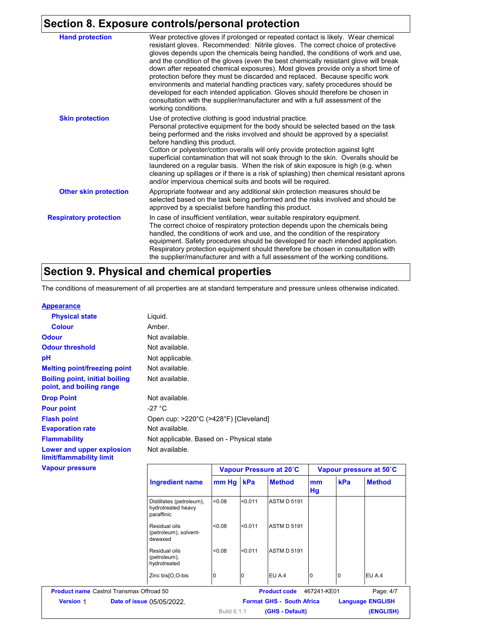# **Section 8. Exposure controls/personal protection**

| <b>Hand protection</b>        | Wear protective gloves if prolonged or repeated contact is likely. Wear chemical<br>resistant gloves. Recommended: Nitrile gloves. The correct choice of protective<br>gloves depends upon the chemicals being handled, the conditions of work and use,<br>and the condition of the gloves (even the best chemically resistant glove will break<br>down after repeated chemical exposures). Most gloves provide only a short time of<br>protection before they must be discarded and replaced. Because specific work<br>environments and material handling practices vary, safety procedures should be<br>developed for each intended application. Gloves should therefore be chosen in<br>consultation with the supplier/manufacturer and with a full assessment of the<br>working conditions. |
|-------------------------------|-------------------------------------------------------------------------------------------------------------------------------------------------------------------------------------------------------------------------------------------------------------------------------------------------------------------------------------------------------------------------------------------------------------------------------------------------------------------------------------------------------------------------------------------------------------------------------------------------------------------------------------------------------------------------------------------------------------------------------------------------------------------------------------------------|
| <b>Skin protection</b>        | Use of protective clothing is good industrial practice.<br>Personal protective equipment for the body should be selected based on the task<br>being performed and the risks involved and should be approved by a specialist<br>before handling this product.<br>Cotton or polyester/cotton overalls will only provide protection against light<br>superficial contamination that will not soak through to the skin. Overalls should be<br>laundered on a regular basis. When the risk of skin exposure is high (e.g. when<br>cleaning up spillages or if there is a risk of splashing) then chemical resistant aprons<br>and/or impervious chemical suits and boots will be required.                                                                                                           |
| <b>Other skin protection</b>  | Appropriate footwear and any additional skin protection measures should be<br>selected based on the task being performed and the risks involved and should be<br>approved by a specialist before handling this product.                                                                                                                                                                                                                                                                                                                                                                                                                                                                                                                                                                         |
| <b>Respiratory protection</b> | In case of insufficient ventilation, wear suitable respiratory equipment.<br>The correct choice of respiratory protection depends upon the chemicals being<br>handled, the conditions of work and use, and the condition of the respiratory<br>equipment. Safety procedures should be developed for each intended application.<br>Respiratory protection equipment should therefore be chosen in consultation with<br>the supplier/manufacturer and with a full assessment of the working conditions.                                                                                                                                                                                                                                                                                           |

# **Section 9. Physical and chemical properties**

The conditions of measurement of all properties are at standard temperature and pressure unless otherwise indicated.

### **Appearance**

| <b>Physical state</b>                                             | Liquid.                                   |                         |
|-------------------------------------------------------------------|-------------------------------------------|-------------------------|
| <b>Colour</b>                                                     | Amber.                                    |                         |
| <b>Odour</b>                                                      | Not available.                            |                         |
| <b>Odour threshold</b>                                            | Not available.                            |                         |
| рH                                                                | Not applicable.                           |                         |
| <b>Melting point/freezing point</b>                               | Not available.                            |                         |
| <b>Boiling point, initial boiling</b><br>point, and boiling range | Not available.                            |                         |
| <b>Drop Point</b>                                                 | Not available.                            |                         |
| <b>Pour point</b>                                                 | -27 °C                                    |                         |
| <b>Flash point</b>                                                | Open cup: >220°C (>428°F) [Cleveland]     |                         |
| <b>Evaporation rate</b>                                           | Not available.                            |                         |
| <b>Flammability</b>                                               | Not applicable. Based on - Physical state |                         |
| Lower and upper explosion<br>limit/flammability limit             | Not available.                            |                         |
| <b>Vapour pressure</b>                                            |                                           | Vapour Pressure at 20°C |

| pour pressure    |                                                              |             |         | Vapour Pressure at 20°C          |             |     | Vapour pressure at 50°C |
|------------------|--------------------------------------------------------------|-------------|---------|----------------------------------|-------------|-----|-------------------------|
|                  | Ingredient name                                              | mm Hg kPa   |         | <b>Method</b>                    | mm<br>Hg    | kPa | <b>Method</b>           |
|                  | Distillates (petroleum),<br>hydrotreated heavy<br>paraffinic | < 0.08      | < 0.011 | <b>ASTM D 5191</b>               |             |     |                         |
|                  | Residual oils<br>(petroleum), solvent-<br>dewaxed            | < 0.08      | < 0.011 | <b>ASTM D 5191</b>               |             |     |                         |
|                  | Residual oils<br>(petroleum),<br>hydrotreated                | < 0.08      | < 0.011 | <b>ASTM D 5191</b>               |             |     |                         |
|                  | Zinc bis[O,O-bis                                             | 0           | 10      | EU A.4                           | 0           | 0   | EU A.4                  |
|                  | <b>Product name</b> Castrol Transmax Offroad 50              |             |         | <b>Product code</b>              | 467241-KE01 |     | Page: 4/7               |
| <b>Version 1</b> | <b>Date of issue 05/05/2022.</b>                             |             |         | <b>Format GHS - South Africa</b> |             |     | <b>Language ENGLISH</b> |
|                  |                                                              | Build 6.1.1 |         | (GHS - Default)                  |             |     | (ENGLISH)               |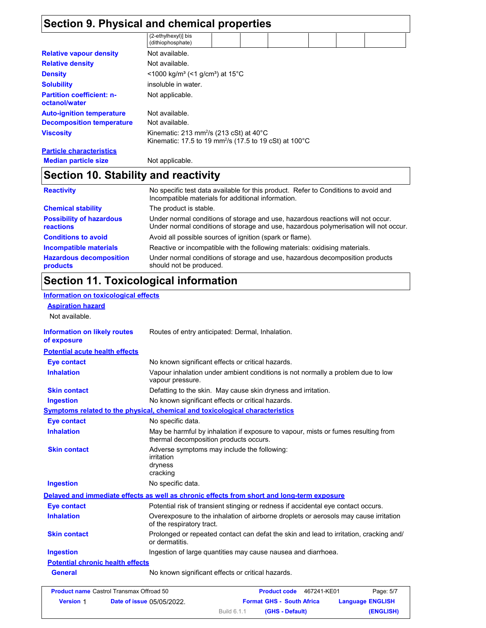|                                                   | Section 9. Physical and chemical properties                                                                                              |
|---------------------------------------------------|------------------------------------------------------------------------------------------------------------------------------------------|
|                                                   | (2-ethylhexyl)] bis<br>(dithiophosphate)                                                                                                 |
| <b>Relative vapour density</b>                    | Not available.                                                                                                                           |
| <b>Relative density</b>                           | Not available.                                                                                                                           |
| <b>Density</b>                                    | <1000 kg/m <sup>3</sup> (<1 g/cm <sup>3</sup> ) at 15 <sup>°</sup> C                                                                     |
| <b>Solubility</b>                                 | insoluble in water.                                                                                                                      |
| <b>Partition coefficient: n-</b><br>octanol/water | Not applicable.                                                                                                                          |
| <b>Auto-ignition temperature</b>                  | Not available.                                                                                                                           |
| <b>Decomposition temperature</b>                  | Not available.                                                                                                                           |
| <b>Viscosity</b>                                  | Kinematic: 213 mm <sup>2</sup> /s (213 cSt) at 40 $^{\circ}$ C<br>Kinematic: 17.5 to 19 mm <sup>2</sup> /s (17.5 to 19 cSt) at 100°C     |
| <b>Particle characteristics</b>                   |                                                                                                                                          |
| <b>Median particle size</b>                       | Not applicable.                                                                                                                          |
| Section 10. Stability and reactivity              |                                                                                                                                          |
| <b>Reactivity</b>                                 | No specific test data available for this product. Refer to Conditions to avoid and<br>Incompatible materials for additional information. |
| <b>Chemical stability</b>                         | The product is stable.                                                                                                                   |
| <b>Possibility of hazardous</b>                   | Under normal conditions of storage and use, hazardous reactions will not occur.                                                          |

| <b>PUSSIBILITY OF HAZAI UDUS</b> | <u>UNGER HOMES CONQUIDITIES OF SCOLAGE AND USE, NAZAROUGS REACTIONS WILLIOL OCCUP.</u> |
|----------------------------------|----------------------------------------------------------------------------------------|
| <b>reactions</b>                 | Under normal conditions of storage and use, hazardous polymerisation will not occur.   |
| <b>Conditions to avoid</b>       | Avoid all possible sources of ignition (spark or flame).                               |
| Incompatible materials           | Reactive or incompatible with the following materials: oxidising materials.            |
| <b>Hazardous decomposition</b>   | Under normal conditions of storage and use, hazardous decomposition products           |
| <b>products</b>                  | should not be produced.                                                                |

# **Section 11. Toxicological information**

#### **Information on toxicological effects Aspiration hazard** Not available. **Information on likely routes of exposure Inhalation** Vapour inhalation under ambient conditions is not normally a problem due to low vapour pressure. **Ingestion** No known significant effects or critical hazards. **Skin contact** Defatting to the skin. May cause skin dryness and irritation. **Eye contact** No known significant effects or critical hazards. **Symptoms related to the physical, chemical and toxicological characteristics Skin contact Ingestion Inhalation** May be harmful by inhalation if exposure to vapour, mists or fumes resulting from thermal decomposition products occurs. No specific data. Adverse symptoms may include the following: irritation dryness cracking **Eye contact** No specific data. **Delayed and immediate effects as well as chronic effects from short and long-term exposure** Routes of entry anticipated: Dermal, Inhalation. **Potential acute health effects General** No known significant effects or critical hazards. **Potential chronic health effects** Overexposure to the inhalation of airborne droplets or aerosols may cause irritation of the respiratory tract. Ingestion of large quantities may cause nausea and diarrhoea. Potential risk of transient stinging or redness if accidental eye contact occurs. Prolonged or repeated contact can defat the skin and lead to irritation, cracking and/ or dermatitis. **Eye contact Inhalation Skin contact Ingestion**

|                  | <b>Product name Castrol Transmax Offroad 50</b> |             | <b>Product code</b> | 467241-KE01                      | Page: 5/7               |
|------------------|-------------------------------------------------|-------------|---------------------|----------------------------------|-------------------------|
| <b>Version 1</b> | <b>Date of issue 05/05/2022.</b>                |             |                     | <b>Format GHS - South Africa</b> | <b>Language ENGLISH</b> |
|                  |                                                 | Build 6.1.1 |                     | (GHS - Default)                  | (ENGLISH)               |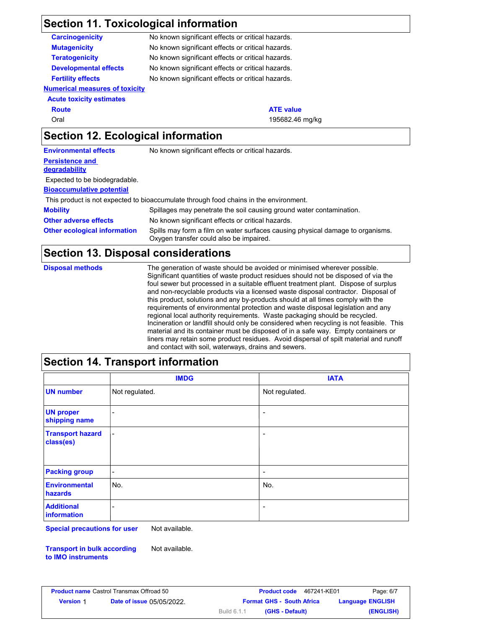### **Section 11. Toxicological information**

**Numerical measures of toxicity Acute toxicity estimates** Oral 195682.46 mg/kg **Carcinogenicity Mutagenicity Teratogenicity Developmental effects Fertility effects** No known significant effects or critical hazards. No known significant effects or critical hazards. No known significant effects or critical hazards. No known significant effects or critical hazards. No known significant effects or critical hazards. **Route ATE** value **Section 12. Ecological information Persistence and degradability Environmental effects** No known significant effects or critical hazards.

**Bioaccumulative potential** Expected to be biodegradable.

This product is not expected to bioaccumulate through food chains in the environment.

| <b>Mobility</b>                     | Spillages may penetrate the soil causing ground water contamination.                                                      |
|-------------------------------------|---------------------------------------------------------------------------------------------------------------------------|
| <b>Other adverse effects</b>        | No known significant effects or critical hazards.                                                                         |
| <b>Other ecological information</b> | Spills may form a film on water surfaces causing physical damage to organisms.<br>Oxygen transfer could also be impaired. |

## **Section 13. Disposal considerations**

| <b>Disposal methods</b> | The generation of waste should be avoided or minimised wherever possible.<br>Significant quantities of waste product residues should not be disposed of via the<br>foul sewer but processed in a suitable effluent treatment plant. Dispose of surplus<br>and non-recyclable products via a licensed waste disposal contractor. Disposal of<br>this product, solutions and any by-products should at all times comply with the<br>requirements of environmental protection and waste disposal legislation and any<br>regional local authority requirements. Waste packaging should be recycled.<br>Incineration or landfill should only be considered when recycling is not feasible. This<br>material and its container must be disposed of in a safe way. Empty containers or |
|-------------------------|---------------------------------------------------------------------------------------------------------------------------------------------------------------------------------------------------------------------------------------------------------------------------------------------------------------------------------------------------------------------------------------------------------------------------------------------------------------------------------------------------------------------------------------------------------------------------------------------------------------------------------------------------------------------------------------------------------------------------------------------------------------------------------|
|                         | liners may retain some product residues. Avoid dispersal of spilt material and runoff<br>and contact with soil, waterways, drains and sewers.                                                                                                                                                                                                                                                                                                                                                                                                                                                                                                                                                                                                                                   |

## **Section 14. Transport information**

|                                      | <b>IMDG</b>    | <b>IATA</b>              |
|--------------------------------------|----------------|--------------------------|
| <b>UN number</b>                     | Not regulated. | Not regulated.           |
| <b>UN proper</b><br>shipping name    |                | $\overline{\phantom{a}}$ |
| <b>Transport hazard</b><br>class(es) | -              | $\overline{\phantom{a}}$ |
| <b>Packing group</b>                 | ٠              | $\overline{\phantom{a}}$ |
| <b>Environmental</b><br>hazards      | No.            | No.                      |
| <b>Additional</b><br>information     | -              | $\overline{\phantom{a}}$ |

**Special precautions for user** Not available.

**Transport in bulk according to IMO instruments** Not available.

|                  | <b>Product name Castrol Transmax Offroad 50</b> | 467241-KE01<br><b>Product code</b> | Page: 6/7               |
|------------------|-------------------------------------------------|------------------------------------|-------------------------|
| <b>Version 1</b> | <b>Date of issue 05/05/2022.</b>                | <b>Format GHS - South Africa</b>   | <b>Language ENGLISH</b> |
|                  |                                                 | Build 6.1.1<br>(GHS - Default)     | (ENGLISH)               |